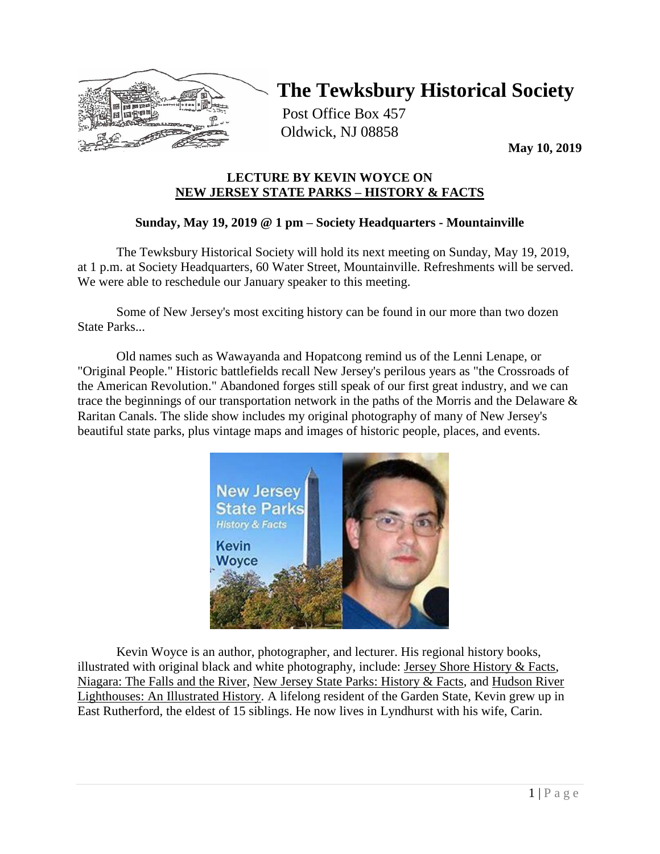

# **The Tewksbury Historical Society**

Post Office Box 457 Oldwick, NJ 08858

**May 10, 2019**

## **LECTURE BY KEVIN WOYCE ON NEW JERSEY STATE PARKS – HISTORY & FACTS**

# **Sunday, May 19, 2019 @ 1 pm – Society Headquarters - Mountainville**

The Tewksbury Historical Society will hold its next meeting on Sunday, May 19, 2019, at 1 p.m. at Society Headquarters, 60 Water Street, Mountainville. Refreshments will be served. We were able to reschedule our January speaker to this meeting.

Some of New Jersey's most exciting history can be found in our more than two dozen State Parks...

Old names such as Wawayanda and Hopatcong remind us of the Lenni Lenape, or "Original People." Historic battlefields recall New Jersey's perilous years as "the Crossroads of the American Revolution." Abandoned forges still speak of our first great industry, and we can trace the beginnings of our transportation network in the paths of the Morris and the Delaware & Raritan Canals. The slide show includes my original photography of many of New Jersey's beautiful state parks, plus vintage maps and images of historic people, places, and events.



Kevin Woyce is an author, photographer, and lecturer. His regional history books, illustrated with original black and white photography, include: Jersey Shore History & Facts, Niagara: The Falls and the River, New Jersey State Parks: History & Facts, and Hudson River Lighthouses: An Illustrated History. A lifelong resident of the Garden State, Kevin grew up in East Rutherford, the eldest of 15 siblings. He now lives in Lyndhurst with his wife, Carin.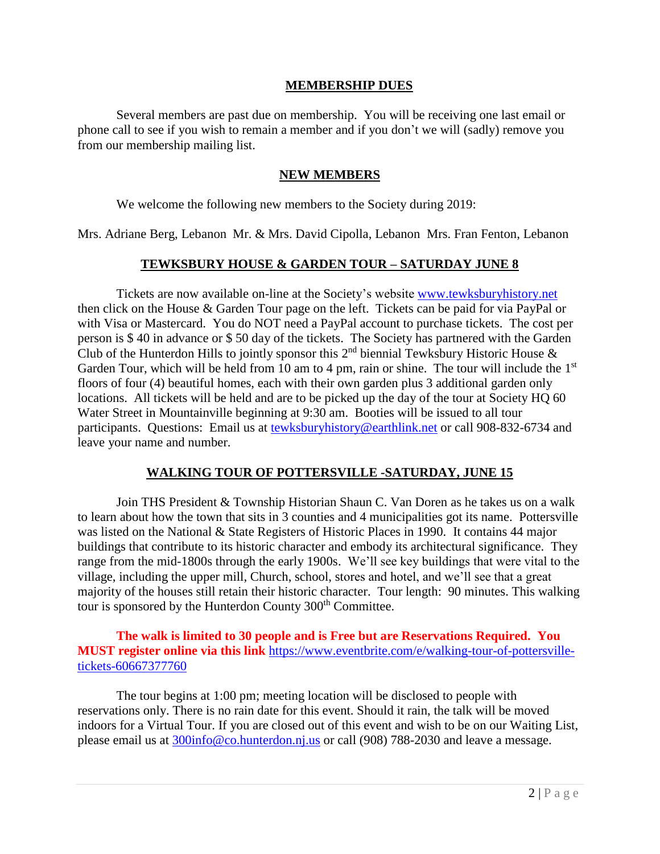#### **MEMBERSHIP DUES**

Several members are past due on membership. You will be receiving one last email or phone call to see if you wish to remain a member and if you don't we will (sadly) remove you from our membership mailing list.

#### **NEW MEMBERS**

We welcome the following new members to the Society during 2019:

Mrs. Adriane Berg, Lebanon Mr. & Mrs. David Cipolla, Lebanon Mrs. Fran Fenton, Lebanon

### **TEWKSBURY HOUSE & GARDEN TOUR – SATURDAY JUNE 8**

Tickets are now available on-line at the Society's website [www.tewksburyhistory.net](http://www.tewksburyhistory.net/) then click on the House & Garden Tour page on the left. Tickets can be paid for via PayPal or with Visa or Mastercard. You do NOT need a PayPal account to purchase tickets. The cost per person is \$ 40 in advance or \$ 50 day of the tickets. The Society has partnered with the Garden Club of the Hunterdon Hills to jointly sponsor this  $2<sup>nd</sup>$  biennial Tewksbury Historic House  $\&$ Garden Tour, which will be held from 10 am to 4 pm, rain or shine. The tour will include the 1<sup>st</sup> floors of four (4) beautiful homes, each with their own garden plus 3 additional garden only locations. All tickets will be held and are to be picked up the day of the tour at Society HQ 60 Water Street in Mountainville beginning at 9:30 am. Booties will be issued to all tour participants. Questions: Email us at [tewksburyhistory@earthlink.net](mailto:tewksburyhistory@earthlink.net) or call 908-832-6734 and leave your name and number.

## **WALKING TOUR OF POTTERSVILLE -SATURDAY, JUNE 15**

Join THS President & Township Historian Shaun C. Van Doren as he takes us on a walk to learn about how the town that sits in 3 counties and 4 municipalities got its name. Pottersville was listed on the National & State Registers of Historic Places in 1990. It contains 44 major buildings that contribute to its historic character and embody its architectural significance. They range from the mid-1800s through the early 1900s. We'll see key buildings that were vital to the village, including the upper mill, Church, school, stores and hotel, and we'll see that a great majority of the houses still retain their historic character. Tour length: 90 minutes. This walking tour is sponsored by the Hunterdon County 300<sup>th</sup> Committee.

**The walk is limited to 30 people and is Free but are Reservations Required. You MUST register online via this link** [https://www.eventbrite.com/e/walking-tour-of-pottersville](https://www.eventbrite.com/e/walking-tour-of-pottersville-tickets-60667377760)[tickets-60667377760](https://www.eventbrite.com/e/walking-tour-of-pottersville-tickets-60667377760)

The tour begins at 1:00 pm; meeting location will be disclosed to people with reservations only. There is no rain date for this event. Should it rain, the talk will be moved indoors for a Virtual Tour. If you are closed out of this event and wish to be on our Waiting List, please email us at [300info@co.hunterdon.nj.us](mailto:300info@co.hunterdon.nj.us) or call (908) 788-2030 and leave a message.